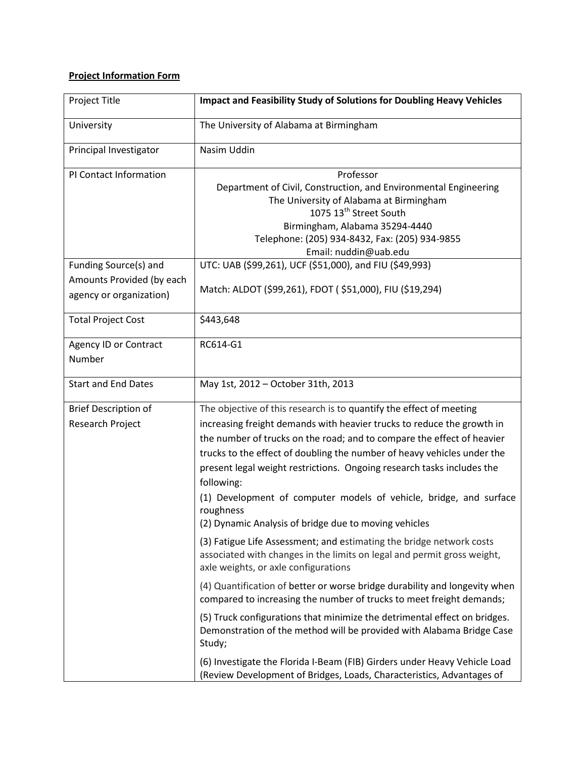## **Project Information Form**

| Project Title                                        | <b>Impact and Feasibility Study of Solutions for Doubling Heavy Vehicles</b>                                                                                                                                                                                                                                                                                                                                                                                    |
|------------------------------------------------------|-----------------------------------------------------------------------------------------------------------------------------------------------------------------------------------------------------------------------------------------------------------------------------------------------------------------------------------------------------------------------------------------------------------------------------------------------------------------|
| University                                           | The University of Alabama at Birmingham                                                                                                                                                                                                                                                                                                                                                                                                                         |
| Principal Investigator                               | Nasim Uddin                                                                                                                                                                                                                                                                                                                                                                                                                                                     |
| PI Contact Information                               | Professor<br>Department of Civil, Construction, and Environmental Engineering<br>The University of Alabama at Birmingham<br>1075 13 <sup>th</sup> Street South<br>Birmingham, Alabama 35294-4440<br>Telephone: (205) 934-8432, Fax: (205) 934-9855<br>Email: nuddin@uab.edu                                                                                                                                                                                     |
| Funding Source(s) and                                | UTC: UAB (\$99,261), UCF (\$51,000), and FIU (\$49,993)                                                                                                                                                                                                                                                                                                                                                                                                         |
| Amounts Provided (by each<br>agency or organization) | Match: ALDOT (\$99,261), FDOT (\$51,000), FIU (\$19,294)                                                                                                                                                                                                                                                                                                                                                                                                        |
| <b>Total Project Cost</b>                            | \$443,648                                                                                                                                                                                                                                                                                                                                                                                                                                                       |
| Agency ID or Contract<br>Number                      | RC614-G1                                                                                                                                                                                                                                                                                                                                                                                                                                                        |
| <b>Start and End Dates</b>                           | May 1st, 2012 - October 31th, 2013                                                                                                                                                                                                                                                                                                                                                                                                                              |
| <b>Brief Description of</b>                          | The objective of this research is to quantify the effect of meeting                                                                                                                                                                                                                                                                                                                                                                                             |
| Research Project                                     | increasing freight demands with heavier trucks to reduce the growth in<br>the number of trucks on the road; and to compare the effect of heavier<br>trucks to the effect of doubling the number of heavy vehicles under the<br>present legal weight restrictions. Ongoing research tasks includes the<br>following:<br>(1) Development of computer models of vehicle, bridge, and surface<br>roughness<br>(2) Dynamic Analysis of bridge due to moving vehicles |
|                                                      | (3) Fatigue Life Assessment; and estimating the bridge network costs<br>associated with changes in the limits on legal and permit gross weight,<br>axle weights, or axle configurations                                                                                                                                                                                                                                                                         |
|                                                      | (4) Quantification of better or worse bridge durability and longevity when<br>compared to increasing the number of trucks to meet freight demands;                                                                                                                                                                                                                                                                                                              |
|                                                      | (5) Truck configurations that minimize the detrimental effect on bridges.<br>Demonstration of the method will be provided with Alabama Bridge Case<br>Study;                                                                                                                                                                                                                                                                                                    |
|                                                      | (6) Investigate the Florida I-Beam (FIB) Girders under Heavy Vehicle Load<br>(Review Development of Bridges, Loads, Characteristics, Advantages of                                                                                                                                                                                                                                                                                                              |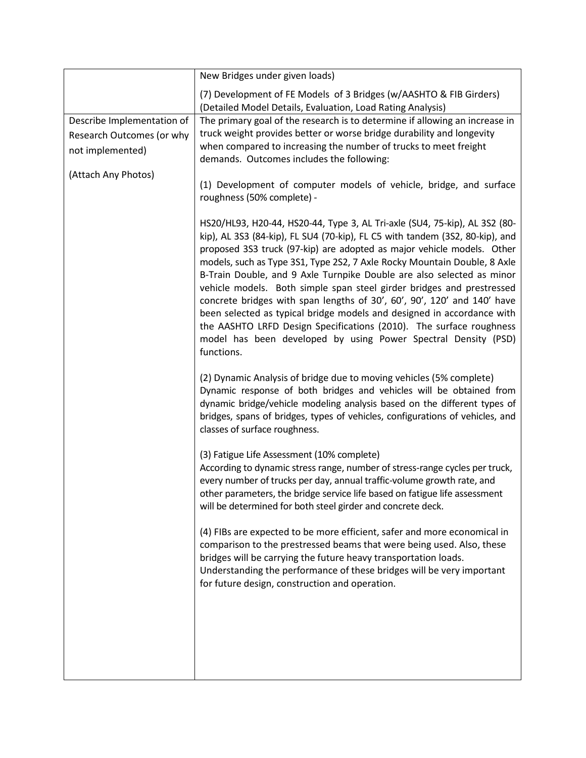|                                                                                                    | New Bridges under given loads)                                                                                                                                                                                                                                                                                                                                                                                                                                                                                                                                                                                                                                                                                                                                                 |
|----------------------------------------------------------------------------------------------------|--------------------------------------------------------------------------------------------------------------------------------------------------------------------------------------------------------------------------------------------------------------------------------------------------------------------------------------------------------------------------------------------------------------------------------------------------------------------------------------------------------------------------------------------------------------------------------------------------------------------------------------------------------------------------------------------------------------------------------------------------------------------------------|
|                                                                                                    | (7) Development of FE Models of 3 Bridges (w/AASHTO & FIB Girders)<br>(Detailed Model Details, Evaluation, Load Rating Analysis)                                                                                                                                                                                                                                                                                                                                                                                                                                                                                                                                                                                                                                               |
| Describe Implementation of<br>Research Outcomes (or why<br>not implemented)<br>(Attach Any Photos) | The primary goal of the research is to determine if allowing an increase in<br>truck weight provides better or worse bridge durability and longevity<br>when compared to increasing the number of trucks to meet freight<br>demands. Outcomes includes the following:                                                                                                                                                                                                                                                                                                                                                                                                                                                                                                          |
|                                                                                                    | (1) Development of computer models of vehicle, bridge, and surface<br>roughness (50% complete) -                                                                                                                                                                                                                                                                                                                                                                                                                                                                                                                                                                                                                                                                               |
|                                                                                                    | HS20/HL93, H20-44, HS20-44, Type 3, AL Tri-axle (SU4, 75-kip), AL 3S2 (80-<br>kip), AL 3S3 (84-kip), FL SU4 (70-kip), FL C5 with tandem (3S2, 80-kip), and<br>proposed 3S3 truck (97-kip) are adopted as major vehicle models. Other<br>models, such as Type 3S1, Type 2S2, 7 Axle Rocky Mountain Double, 8 Axle<br>B-Train Double, and 9 Axle Turnpike Double are also selected as minor<br>vehicle models. Both simple span steel girder bridges and prestressed<br>concrete bridges with span lengths of 30', 60', 90', 120' and 140' have<br>been selected as typical bridge models and designed in accordance with<br>the AASHTO LRFD Design Specifications (2010). The surface roughness<br>model has been developed by using Power Spectral Density (PSD)<br>functions. |
|                                                                                                    | (2) Dynamic Analysis of bridge due to moving vehicles (5% complete)<br>Dynamic response of both bridges and vehicles will be obtained from<br>dynamic bridge/vehicle modeling analysis based on the different types of<br>bridges, spans of bridges, types of vehicles, configurations of vehicles, and<br>classes of surface roughness.                                                                                                                                                                                                                                                                                                                                                                                                                                       |
|                                                                                                    | (3) Fatigue Life Assessment (10% complete)<br>According to dynamic stress range, number of stress-range cycles per truck,<br>every number of trucks per day, annual traffic-volume growth rate, and<br>other parameters, the bridge service life based on fatigue life assessment<br>will be determined for both steel girder and concrete deck.                                                                                                                                                                                                                                                                                                                                                                                                                               |
|                                                                                                    | (4) FIBs are expected to be more efficient, safer and more economical in<br>comparison to the prestressed beams that were being used. Also, these<br>bridges will be carrying the future heavy transportation loads.<br>Understanding the performance of these bridges will be very important<br>for future design, construction and operation.                                                                                                                                                                                                                                                                                                                                                                                                                                |
|                                                                                                    |                                                                                                                                                                                                                                                                                                                                                                                                                                                                                                                                                                                                                                                                                                                                                                                |
|                                                                                                    |                                                                                                                                                                                                                                                                                                                                                                                                                                                                                                                                                                                                                                                                                                                                                                                |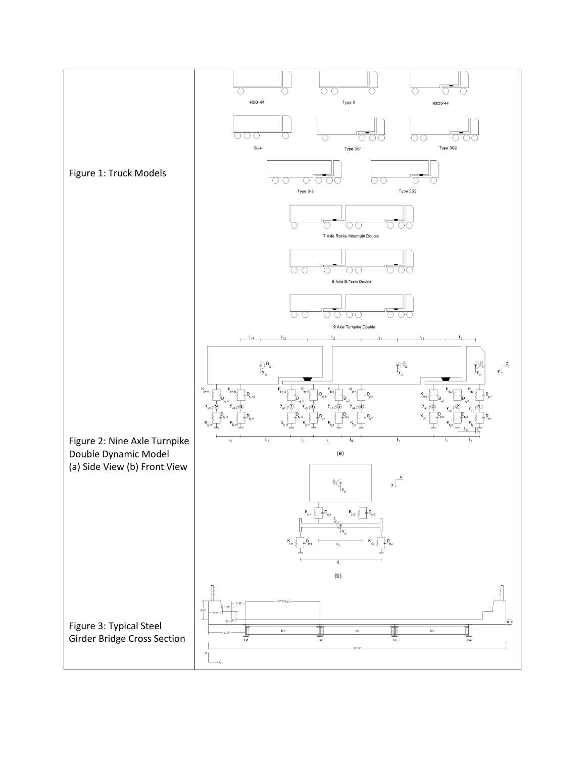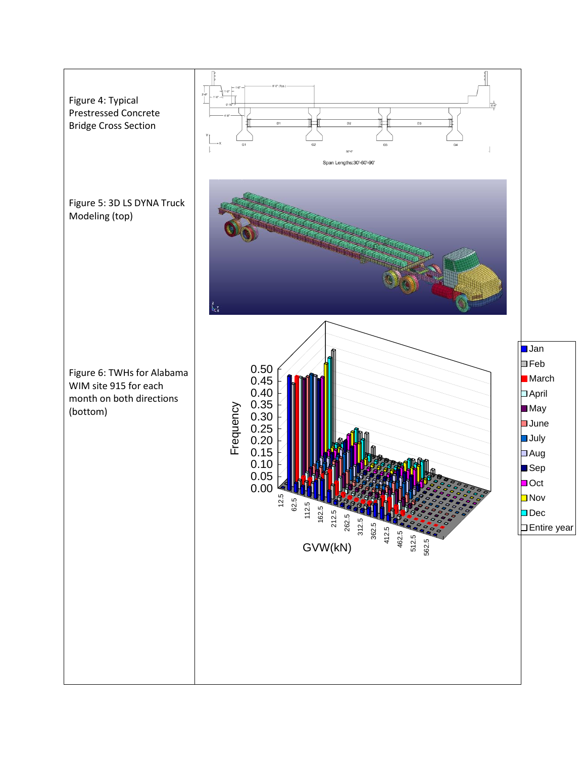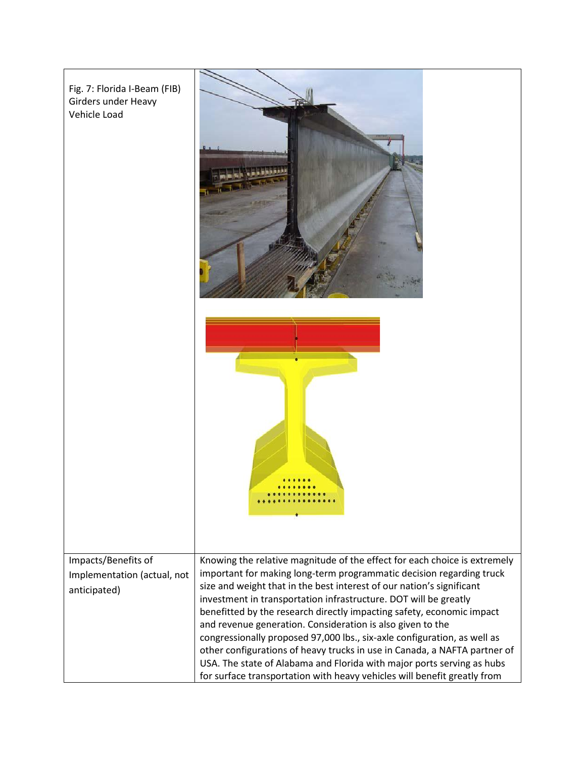| Fig. 7: Florida I-Beam (FIB)<br>Girders under Heavy<br>Vehicle Load |                                                                                                                                                                                                                                                                                                                                                                                                                                                                                                                                                                                                                                                                                                                                                      |
|---------------------------------------------------------------------|------------------------------------------------------------------------------------------------------------------------------------------------------------------------------------------------------------------------------------------------------------------------------------------------------------------------------------------------------------------------------------------------------------------------------------------------------------------------------------------------------------------------------------------------------------------------------------------------------------------------------------------------------------------------------------------------------------------------------------------------------|
|                                                                     |                                                                                                                                                                                                                                                                                                                                                                                                                                                                                                                                                                                                                                                                                                                                                      |
| Impacts/Benefits of<br>Implementation (actual, not<br>anticipated)  | Knowing the relative magnitude of the effect for each choice is extremely<br>important for making long-term programmatic decision regarding truck<br>size and weight that in the best interest of our nation's significant<br>investment in transportation infrastructure. DOT will be greatly<br>benefitted by the research directly impacting safety, economic impact<br>and revenue generation. Consideration is also given to the<br>congressionally proposed 97,000 lbs., six-axle configuration, as well as<br>other configurations of heavy trucks in use in Canada, a NAFTA partner of<br>USA. The state of Alabama and Florida with major ports serving as hubs<br>for surface transportation with heavy vehicles will benefit greatly from |